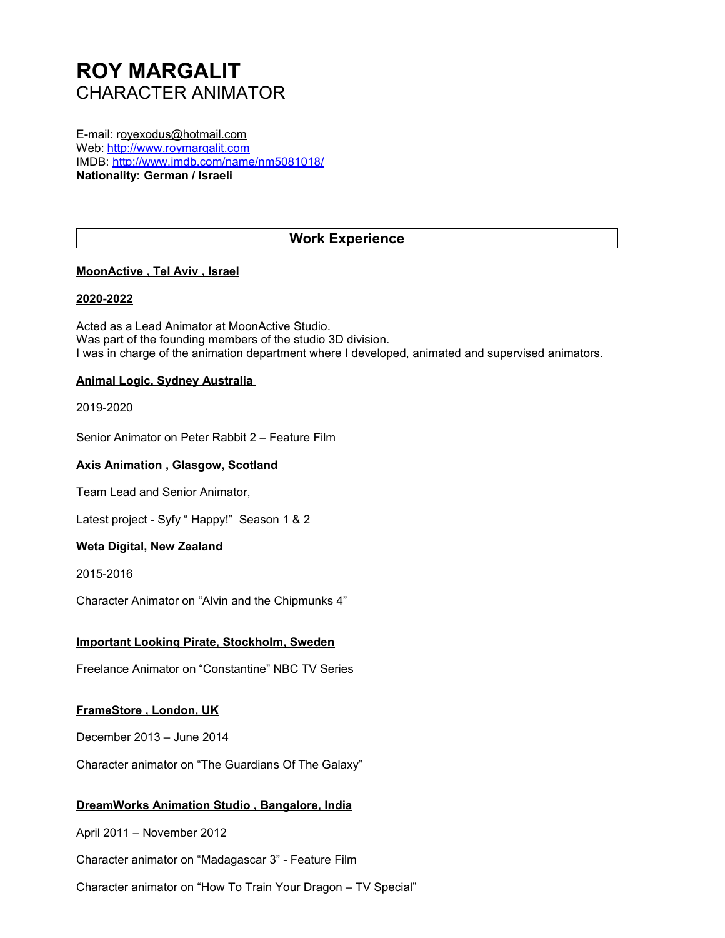# **ROY MARGALIT** CHARACTER ANIMATOR

E-mail: royexodus@hotmail.com Web: [http://www.roymargalit.com](http://www.roymargalit.com/) IMDB:<http://www.imdb.com/name/nm5081018/> **Nationality: German / Israeli**

# **Work Experience**

# **MoonActive , Tel Aviv , Israel**

#### **2020-2022**

Acted as a Lead Animator at MoonActive Studio. Was part of the founding members of the studio 3D division. I was in charge of the animation department where I developed, animated and supervised animators.

## **Animal Logic, Sydney Australia**

2019-2020

Senior Animator on Peter Rabbit 2 – Feature Film

#### **Axis Animation , Glasgow, Scotland**

Team Lead and Senior Animator,

Latest project - Syfy " Happy!" Season 1 & 2

#### **Weta Digital, New Zealand**

2015-2016

Character Animator on "Alvin and the Chipmunks 4"

#### **Important Looking Pirate, Stockholm, Sweden**

Freelance Animator on "Constantine" NBC TV Series

#### **FrameStore , London, UK**

December 2013 – June 2014

Character animator on "The Guardians Of The Galaxy"

#### **DreamWorks Animation Studio , Bangalore, India**

April 2011 – November 2012

Character animator on "Madagascar 3" - Feature Film

Character animator on "How To Train Your Dragon – TV Special"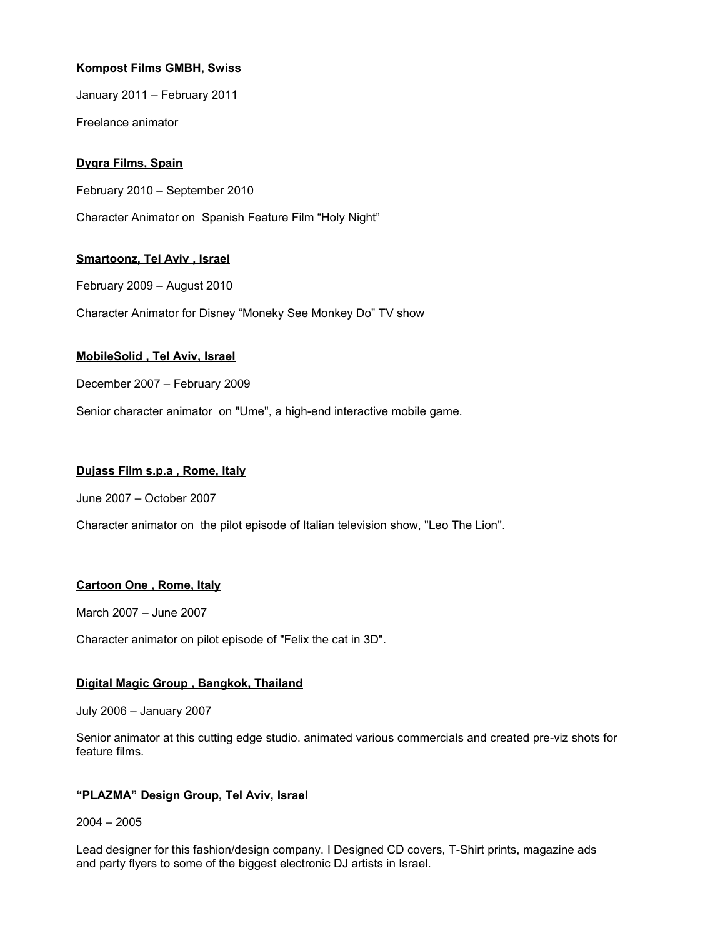# **Kompost Films GMBH, Swiss**

January 2011 – February 2011

Freelance animator

# **Dygra Films, Spain**

February 2010 – September 2010

Character Animator on Spanish Feature Film "Holy Night"

## **Smartoonz, Tel Aviv , Israel**

February 2009 – August 2010

Character Animator for Disney "Moneky See Monkey Do" TV show

## **[MobileSolid](http://www.linkedin.com/search?search=&sortCriteria=3&company=) , Tel Aviv, Israel**

December 2007 – February 2009

Senior character animator on "Ume", a high-end interactive mobile game.

#### **[Dujass Film s.p.a , Rome, Italy](http://www.linkedin.com/search?search=&sortCriteria=3&company=)**

June 2007 – October 2007

Character animator on the pilot episode of Italian television show, "Leo The Lion".

# **[Cartoon One , Rome, Italy](http://www.linkedin.com/search?search=&sortCriteria=3&company=)**

March 2007 – June 2007

Character animator on pilot episode of "Felix the cat in 3D".

# **[Digital Magic Group , Bangkok, Thailand](http://www.linkedin.com/search?search=&sortCriteria=3&company=)**

July 2006 – January 2007

Senior animator at this cutting edge studio. animated various commercials and created pre-viz shots for feature films.

# **"PLAZMA" Design Group, Tel Aviv, Israel**

2004 – 2005

Lead designer for this fashion/design company. I Designed CD covers, T-Shirt prints, magazine ads and party flyers to some of the biggest electronic DJ artists in Israel.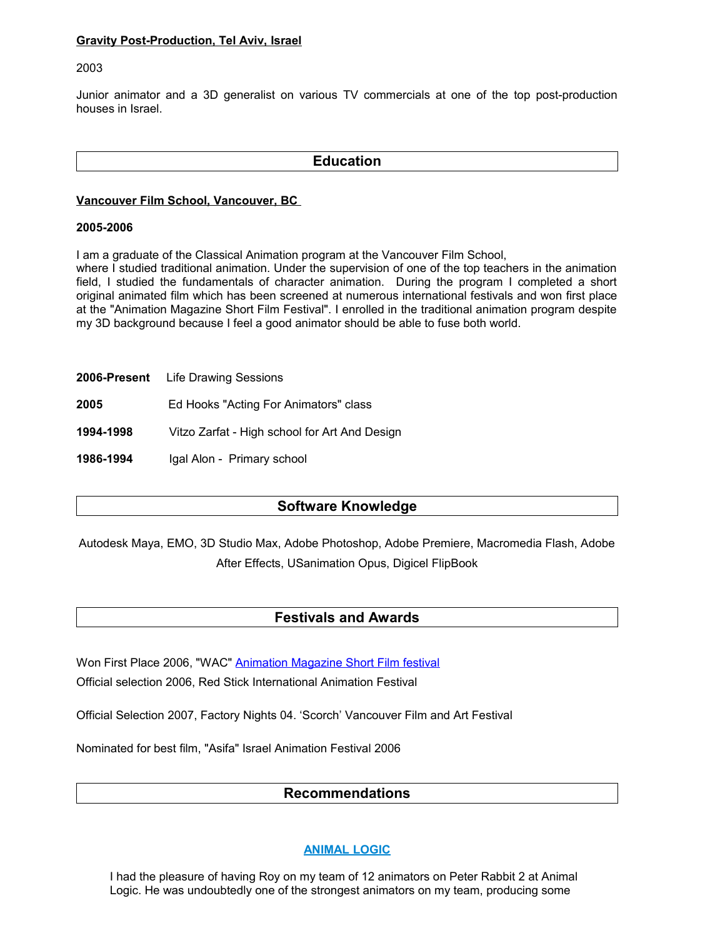#### **Gravity Post-Production, Tel Aviv, Israel**

#### 2003

Junior animator and a 3D generalist on various TV commercials at one of the top post-production houses in Israel.

# **Education**

#### **Vancouver Film School, Vancouver, BC**

#### **2005-2006**

I am a graduate of the Classical Animation program at the Vancouver Film School,

where I studied traditional animation. Under the supervision of one of the top teachers in the animation field, I studied the fundamentals of character animation. During the program I completed a short original animated film which has been screened at numerous international festivals and won first place at the "Animation Magazine Short Film Festival". I enrolled in the traditional animation program despite my 3D background because I feel a good animator should be able to fuse both world.

- **2006-Present** Life Drawing Sessions
- **2005** Ed Hooks "Acting For Animators" class
- **1994-1998** Vitzo Zarfat High school for Art And Design

**1986-1994** Igal Alon - Primary school

# **Software Knowledge**

Autodesk Maya, EMO, 3D Studio Max, Adobe Photoshop, Adobe Premiere, Macromedia Flash, Adobe After Effects, USanimation Opus, Digicel FlipBook

# **Festivals and Awards**

Won First Place 2006, "WAC" [Animation Magazine Short Film festival](http://animationmagazine.net/article/5935)

Official selection 2006, Red Stick International Animation Festival

Official Selection 2007, Factory Nights 04. 'Scorch' Vancouver Film and Art Festival

Nominated for best film, "Asifa" Israel Animation Festival 2006

# **Recommendations**

# **ANIMAL LOGIC**

I had the pleasure of having Roy on my team of 12 animators on Peter Rabbit 2 at Animal Logic. He was undoubtedly one of the strongest animators on my team, producing some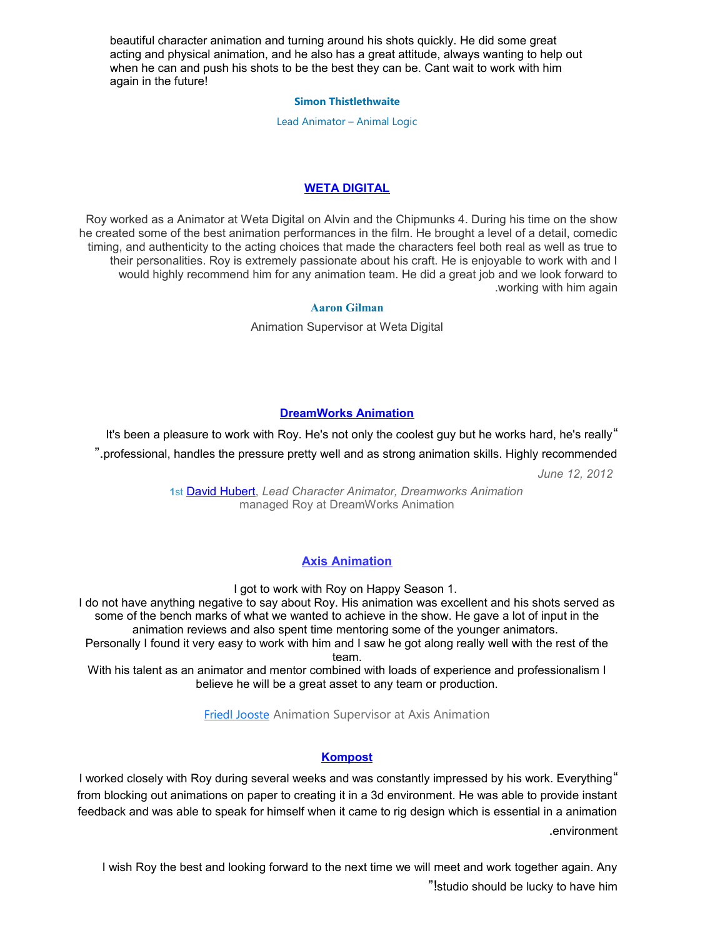beautiful character animation and turning around his shots quickly. He did some great acting and physical animation, and he also has a great attitude, always wanting to help out when he can and push his shots to be the best they can be. Cant wait to work with him again in the future!

#### **[Simon Thistlethwaite](https://www.linkedin.com/in/simon-thistlethwaite-07038a1/)**

Lead Animator – Animal Logic

# **WETA DIGITAL**

Roy worked as a Animator at Weta Digital on Alvin and the Chipmunks 4. During his time on the show he created some of the best animation performances in the film. He brought a level of a detail, comedic timing, and authenticity to the acting choices that made the characters feel both real as well as true to their personalities. Roy is extremely passionate about his craft. He is enjoyable to work with and I would highly recommend him for any animation team. He did a great job and we look forward to .working with him again

#### **[Aaron Gilman](https://www.linkedin.com/profile/view?id=AAEAAABo2nUBaPfHgCkP5PHQaQaPnbHOq9F0anQ&authType=name&authToken=qOSM)**

Animation Supervisor at Weta Digital

# **[DreamWorks Animation](http://www.linkedin.com/company/4080?trk=pro_other_cmpy)**

It's been a pleasure to work with Roy. He's not only the coolest guy but he works hard, he's really"

".professional, handles the pressure pretty well and as strong animation skills. Highly recommended

*June 12, 2012*

**1**st [David Hubert,](http://www.linkedin.com/profile/view?id=4244143&authType=name&authToken=AEVR&goback=.npv_16013572_*1_*1_*1_*1_*1_*1_*1_*1_*1_*1_*1_*1_*1_*1_*1_*1_*1_*1_*1_*1_*1) *Lead Character Animator, Dreamworks Animation* managed Roy at DreamWorks Animation

# **Axis Animation**

I got to work with Roy on Happy Season 1.

I do not have anything negative to say about Roy. His animation was excellent and his shots served as some of the bench marks of what we wanted to achieve in the show. He gave a lot of input in the animation reviews and also spent time mentoring some of the younger animators.

Personally I found it very easy to work with him and I saw he got along really well with the rest of the team.

With his talent as an animator and mentor combined with loads of experience and professionalism I believe he will be a great asset to any team or production.

**[Friedl Jooste](https://www.linkedin.com/in/friedl-jooste-36b55456/) [Animation Supervisor at Axis Animation](https://www.linkedin.com/in/friedl-jooste-36b55456/)** 

# **[Kompost](http://www.linkedin.com/company/831265?trk=pro_other_cmpy)**

I worked closely with Roy during several weeks and was constantly impressed by his work. Everything" from blocking out animations on paper to creating it in a 3d environment. He was able to provide instant feedback and was able to speak for himself when it came to rig design which is essential in a animation .environment

I wish Roy the best and looking forward to the next time we will meet and work together again. Any "!studio should be lucky to have him